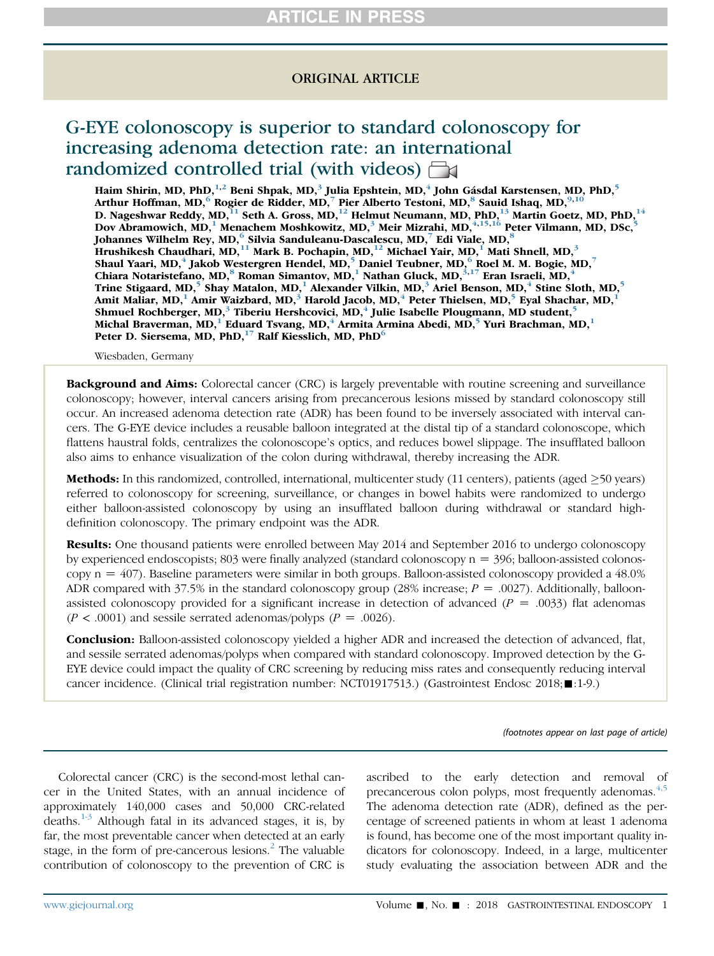### ORIGINAL ARTICLE

# G-EYE colonoscopy is superior to standard colonoscopy for increasing adenoma detection rate: an international randomized controlled trial (with videos)  $\Box$

Haim Shirin, MD, PhD, $^{1,2}$  Beni Shpak, MD, $^3$  Julia Epshtein, MD, $^4$  John Gásdal Karstensen, MD, PhD, $^5$ Arthur Hoffman, MD,  $^6$  Rogier de Ridder, MD,  $^7$  Pier Alberto Testoni, MD,  $^8$  Sauid Ishaq, MD,  $^{9,10}$ D. Nageshwar Reddy, MD,  $^{11}$  Seth A. Gross, MD,  $^{12}$  Helmut Neumann, MD, PhD,  $^{13}$  Martin Goetz, MD, PhD,  $^{14}$ Dov Abramowich, MD, $^1$  Menachem Moshkowitz, MD, $^3$  Meir Mizrahi, MD, $^{4,15,16}$  Peter Vilmann, MD, DSc, $^{\bf 5}$ Johannes Wilhelm Rey, MD, $^6$  Silvia Sanduleanu-Dascalescu, MD, $^7$  Edi Viale, MD, $^8$ Hrushikesh Chaudhari, MD, $^{11}$  Mark B. Pochapin, MD, $^{12}$  Michael Yair, MD, $^{1}$  Mati Shnell, MD, $^{3}$ Shaul Yaari, MD, $^{4}$  Jakob Westergren Hendel, MD, $^{5}$  Daniel Teubner, MD, $^{6}$  Roel M. M. Bogie, MD, $^{7}$ Chiara Notaristefano, MD, $^8$  Roman Simantov, MD, $^1$  Nathan Gluck, MD, $^{3,17}$  Eran Israeli, MD, $^4$ Trine Stigaard, MD,<sup>5</sup> Shay Matalon, MD,<sup>1</sup> Alexander Vilkin, MD,<sup>3</sup> Ariel Benson, MD,<sup>4</sup> Stine Sloth, MD,<sup>5</sup> Amit Maliar, MD, $^1$  Amir Waizbard, MD, $^3$  Harold Jacob, MD, $^4$  Peter Thielsen, MD, $^5$  Eyal Shachar, MD, $^1$ Shmuel Rochberger, MD,<sup>3</sup> Tiberiu Hershcovici, MD,<sup>4</sup> Julie Isabelle Plougmann, MD student,<sup>5</sup> Michal Braverman, MD, $^1$ Eduard Tsvang, MD, $^4$  Armita Armina Abedi, MD, $^5$  Yuri Brachman, MD, $^1$ Peter D. Siersema, MD, PhD,<sup>17</sup> Ralf Kiesslich, MD, PhD<sup>6</sup>

Wiesbaden, Germany

**Background and Aims:** Colorectal cancer (CRC) is largely preventable with routine screening and surveillance colonoscopy; however, interval cancers arising from precancerous lesions missed by standard colonoscopy still occur. An increased adenoma detection rate (ADR) has been found to be inversely associated with interval cancers. The G-EYE device includes a reusable balloon integrated at the distal tip of a standard colonoscope, which flattens haustral folds, centralizes the colonoscope's optics, and reduces bowel slippage. The insufflated balloon also aims to enhance visualization of the colon during withdrawal, thereby increasing the ADR.

Methods: In this randomized, controlled, international, multicenter study (11 centers), patients (aged >50 years) referred to colonoscopy for screening, surveillance, or changes in bowel habits were randomized to undergo either balloon-assisted colonoscopy by using an insufflated balloon during withdrawal or standard highdefinition colonoscopy. The primary endpoint was the ADR.

**Results:** One thousand patients were enrolled between May 2014 and September 2016 to undergo colonoscopy by experienced endoscopists; 803 were finally analyzed (standard colonoscopy  $n = 396$ ; balloon-assisted colonoscopy  $n = 407$ ). Baseline parameters were similar in both groups. Balloon-assisted colonoscopy provided a  $48.0\%$ ADR compared with 37.5% in the standard colonoscopy group (28% increase;  $P = .0027$ ). Additionally, balloonassisted colonoscopy provided for a significant increase in detection of advanced ( $P = .0033$ ) flat adenomas  $(P < .0001)$  and sessile serrated adenomas/polyps  $(P = .0026)$ .

**Conclusion:** Balloon-assisted colonoscopy yielded a higher ADR and increased the detection of advanced, flat, and sessile serrated adenomas/polyps when compared with standard colonoscopy. Improved detection by the G-EYE device could impact the quality of CRC screening by reducing miss rates and consequently reducing interval cancer incidence. (Clinical trial registration number: NCT01917513.) (Gastrointest Endosc 2018; 1-9.)

(footnotes appear on last page of article)

Colorectal cancer (CRC) is the second-most lethal cancer in the United States, with an annual incidence of approximately 140,000 cases and 50,000 CRC-related deaths.[1-3](#page-7-0) Although fatal in its advanced stages, it is, by far, the most preventable cancer when detected at an early stage, in the form of pre-cancerous lesions. $\frac{1}{2}$  $\frac{1}{2}$  $\frac{1}{2}$  The valuable contribution of colonoscopy to the prevention of CRC is

ascribed to the early detection and removal of precancerous colon polyps, most frequently adenomas.<sup>[4,5](#page-7-0)</sup> The adenoma detection rate (ADR), defined as the percentage of screened patients in whom at least 1 adenoma is found, has become one of the most important quality indicators for colonoscopy. Indeed, in a large, multicenter study evaluating the association between ADR and the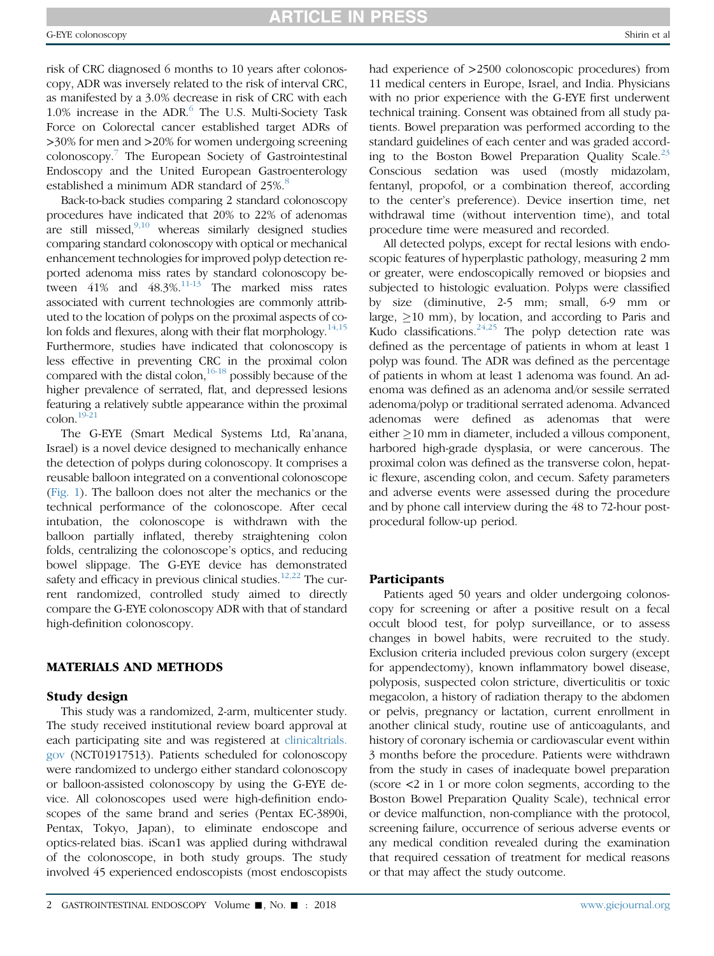risk of CRC diagnosed 6 months to 10 years after colonoscopy, ADR was inversely related to the risk of interval CRC, as manifested by a 3.0% decrease in risk of CRC with each 1.0% increase in the ADR.[6](#page-7-0) The U.S. Multi-Society Task Force on Colorectal cancer established target ADRs of >30% for men and >20% for women undergoing screening colonoscopy.[7](#page-7-0) The European Society of Gastrointestinal Endoscopy and the United European Gastroenterology established a minimum ADR standard of 25%.<sup>[8](#page-7-0)</sup>

Back-to-back studies comparing 2 standard colonoscopy procedures have indicated that 20% to 22% of adenomas are still missed, $9,10$  whereas similarly designed studies comparing standard colonoscopy with optical or mechanical enhancement technologies for improved polyp detection reported adenoma miss rates by standard colonoscopy between  $41\%$  and  $48.3\%$ .<sup>11-13</sup> The marked miss rates associated with current technologies are commonly attributed to the location of polyps on the proximal aspects of colon folds and flexures, along with their flat morphology.<sup>14,15</sup> Furthermore, studies have indicated that colonoscopy is less effective in preventing CRC in the proximal colon compared with the distal colon,  $16-18$  possibly because of the higher prevalence of serrated, flat, and depressed lesions featuring a relatively subtle appearance within the proximal  $\text{colon}^{19-21}$ 

The G-EYE (Smart Medical Systems Ltd, Ra'anana, Israel) is a novel device designed to mechanically enhance the detection of polyps during colonoscopy. It comprises a reusable balloon integrated on a conventional colonoscope ([Fig. 1](#page-2-0)). The balloon does not alter the mechanics or the technical performance of the colonoscope. After cecal intubation, the colonoscope is withdrawn with the balloon partially inflated, thereby straightening colon folds, centralizing the colonoscope's optics, and reducing bowel slippage. The G-EYE device has demonstrated safety and efficacy in previous clinical studies.<sup>[12,22](#page-7-0)</sup> The current randomized, controlled study aimed to directly compare the G-EYE colonoscopy ADR with that of standard high-definition colonoscopy.

#### MATERIALS AND METHODS

#### Study design

This study was a randomized, 2-arm, multicenter study. The study received institutional review board approval at each participating site and was registered at [clinicaltrials.](http://clinicaltrials.gov) [gov](http://clinicaltrials.gov) (NCT01917513). Patients scheduled for colonoscopy were randomized to undergo either standard colonoscopy or balloon-assisted colonoscopy by using the G-EYE device. All colonoscopes used were high-definition endoscopes of the same brand and series (Pentax EC-3890i, Pentax, Tokyo, Japan), to eliminate endoscope and optics-related bias. iScan1 was applied during withdrawal of the colonoscope, in both study groups. The study involved 45 experienced endoscopists (most endoscopists had experience of  $>2500$  colonoscopic procedures) from 11 medical centers in Europe, Israel, and India. Physicians with no prior experience with the G-EYE first underwent technical training. Consent was obtained from all study patients. Bowel preparation was performed according to the standard guidelines of each center and was graded accord-ing to the Boston Bowel Preparation Quality Scale.<sup>[23](#page-7-0)</sup> Conscious sedation was used (mostly midazolam, fentanyl, propofol, or a combination thereof, according to the center's preference). Device insertion time, net withdrawal time (without intervention time), and total procedure time were measured and recorded.

All detected polyps, except for rectal lesions with endoscopic features of hyperplastic pathology, measuring 2 mm or greater, were endoscopically removed or biopsies and subjected to histologic evaluation. Polyps were classified by size (diminutive, 2-5 mm; small, 6-9 mm or large,  $\geq$ 10 mm), by location, and according to Paris and Kudo classifications.<sup>[24,25](#page-7-0)</sup> The polyp detection rate was defined as the percentage of patients in whom at least 1 polyp was found. The ADR was defined as the percentage of patients in whom at least 1 adenoma was found. An adenoma was defined as an adenoma and/or sessile serrated adenoma/polyp or traditional serrated adenoma. Advanced adenomas were defined as adenomas that were either  $\geq$  10 mm in diameter, included a villous component, harbored high-grade dysplasia, or were cancerous. The proximal colon was defined as the transverse colon, hepatic flexure, ascending colon, and cecum. Safety parameters and adverse events were assessed during the procedure and by phone call interview during the 48 to 72-hour postprocedural follow-up period.

#### **Participants**

Patients aged 50 years and older undergoing colonoscopy for screening or after a positive result on a fecal occult blood test, for polyp surveillance, or to assess changes in bowel habits, were recruited to the study. Exclusion criteria included previous colon surgery (except for appendectomy), known inflammatory bowel disease, polyposis, suspected colon stricture, diverticulitis or toxic megacolon, a history of radiation therapy to the abdomen or pelvis, pregnancy or lactation, current enrollment in another clinical study, routine use of anticoagulants, and history of coronary ischemia or cardiovascular event within 3 months before the procedure. Patients were withdrawn from the study in cases of inadequate bowel preparation (score <2 in 1 or more colon segments, according to the Boston Bowel Preparation Quality Scale), technical error or device malfunction, non-compliance with the protocol, screening failure, occurrence of serious adverse events or any medical condition revealed during the examination that required cessation of treatment for medical reasons or that may affect the study outcome.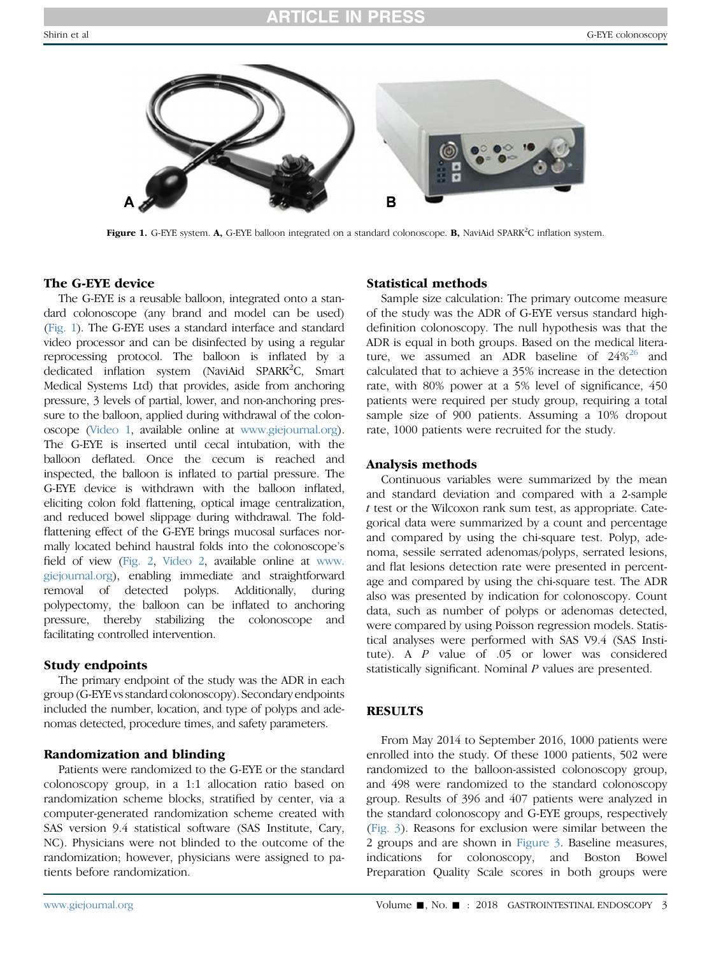<span id="page-2-0"></span>

Figure 1. G-EYE system. A, G-EYE balloon integrated on a standard colonoscope. B, NaviAid SPARK<sup>2</sup>C inflation system.

#### The G-EYE device

The G-EYE is a reusable balloon, integrated onto a standard colonoscope (any brand and model can be used) (Fig. 1). The G-EYE uses a standard interface and standard video processor and can be disinfected by using a regular reprocessing protocol. The balloon is inflated by a dedicated inflation system (NaviAid SPARK<sup>2</sup>C, Smart Medical Systems Ltd) that provides, aside from anchoring pressure, 3 levels of partial, lower, and non-anchoring pressure to the balloon, applied during withdrawal of the colonoscope (Video 1, available online at [www.giejournal.org](http://www.giejournal.org)). The G-EYE is inserted until cecal intubation, with the balloon deflated. Once the cecum is reached and inspected, the balloon is inflated to partial pressure. The G-EYE device is withdrawn with the balloon inflated, eliciting colon fold flattening, optical image centralization, and reduced bowel slippage during withdrawal. The foldflattening effect of the G-EYE brings mucosal surfaces normally located behind haustral folds into the colonoscope's field of view ([Fig. 2,](#page-3-0) Video 2, available online at [www.](http://www.giejournal.org) [giejournal.org](http://www.giejournal.org)), enabling immediate and straightforward removal of detected polyps. Additionally, during polypectomy, the balloon can be inflated to anchoring pressure, thereby stabilizing the colonoscope and facilitating controlled intervention.

#### Study endpoints

The primary endpoint of the study was the ADR in each group (G-EYE vs standard colonoscopy). Secondary endpoints included the number, location, and type of polyps and adenomas detected, procedure times, and safety parameters.

#### Randomization and blinding

Patients were randomized to the G-EYE or the standard colonoscopy group, in a 1:1 allocation ratio based on randomization scheme blocks, stratified by center, via a computer-generated randomization scheme created with SAS version 9.4 statistical software (SAS Institute, Cary, NC). Physicians were not blinded to the outcome of the randomization; however, physicians were assigned to patients before randomization.

#### Statistical methods

Sample size calculation: The primary outcome measure of the study was the ADR of G-EYE versus standard highdefinition colonoscopy. The null hypothesis was that the ADR is equal in both groups. Based on the medical literature, we assumed an ADR baseline of  $24\%^{26}$  $24\%^{26}$  $24\%^{26}$  and calculated that to achieve a 35% increase in the detection rate, with 80% power at a 5% level of significance, 450 patients were required per study group, requiring a total sample size of 900 patients. Assuming a 10% dropout rate, 1000 patients were recruited for the study.

#### Analysis methods

Continuous variables were summarized by the mean and standard deviation and compared with a 2-sample t test or the Wilcoxon rank sum test, as appropriate. Categorical data were summarized by a count and percentage and compared by using the chi-square test. Polyp, adenoma, sessile serrated adenomas/polyps, serrated lesions, and flat lesions detection rate were presented in percentage and compared by using the chi-square test. The ADR also was presented by indication for colonoscopy. Count data, such as number of polyps or adenomas detected, were compared by using Poisson regression models. Statistical analyses were performed with SAS V9.4 (SAS Institute). A P value of .05 or lower was considered statistically significant. Nominal P values are presented.

#### **RESULTS**

From May 2014 to September 2016, 1000 patients were enrolled into the study. Of these 1000 patients, 502 were randomized to the balloon-assisted colonoscopy group, and 498 were randomized to the standard colonoscopy group. Results of 396 and 407 patients were analyzed in the standard colonoscopy and G-EYE groups, respectively [\(Fig. 3](#page-4-0)). Reasons for exclusion were similar between the 2 groups and are shown in [Figure 3](#page-4-0). Baseline measures, indications for colonoscopy, and Boston Bowel Preparation Quality Scale scores in both groups were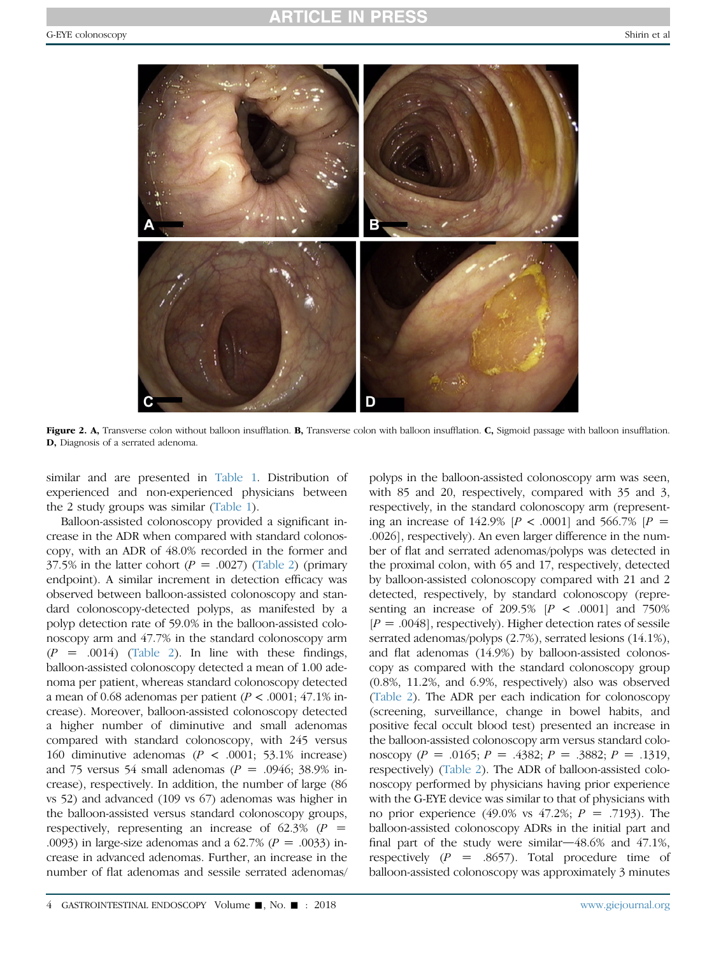<span id="page-3-0"></span>

Figure 2. A, Transverse colon without balloon insufflation. B, Transverse colon with balloon insufflation. C, Sigmoid passage with balloon insufflation. D, Diagnosis of a serrated adenoma.

similar and are presented in [Table 1.](#page-5-0) Distribution of experienced and non-experienced physicians between the 2 study groups was similar [\(Table 1](#page-5-0)).

Balloon-assisted colonoscopy provided a significant increase in the ADR when compared with standard colonoscopy, with an ADR of 48.0% recorded in the former and 37.5% in the latter cohort ( $P = .0027$ ) ([Table 2](#page-6-0)) (primary endpoint). A similar increment in detection efficacy was observed between balloon-assisted colonoscopy and standard colonoscopy-detected polyps, as manifested by a polyp detection rate of 59.0% in the balloon-assisted colonoscopy arm and 47.7% in the standard colonoscopy arm  $(P = .0014)$  [\(Table 2\)](#page-6-0). In line with these findings, balloon-assisted colonoscopy detected a mean of 1.00 adenoma per patient, whereas standard colonoscopy detected a mean of 0.68 adenomas per patient ( $P < .0001$ ; 47.1% increase). Moreover, balloon-assisted colonoscopy detected a higher number of diminutive and small adenomas compared with standard colonoscopy, with 245 versus 160 diminutive adenomas ( $P < .0001$ ; 53.1% increase) and 75 versus 54 small adenomas ( $P = .0946$ ; 38.9% increase), respectively. In addition, the number of large (86 vs 52) and advanced (109 vs 67) adenomas was higher in the balloon-assisted versus standard colonoscopy groups, respectively, representing an increase of 62.3%  $(P =$ .0093) in large-size adenomas and a  $62.7\%$  ( $P = .0033$ ) increase in advanced adenomas. Further, an increase in the number of flat adenomas and sessile serrated adenomas/

polyps in the balloon-assisted colonoscopy arm was seen, with 85 and 20, respectively, compared with 35 and 3, respectively, in the standard colonoscopy arm (representing an increase of 142.9%  $[P < .0001]$  and 566.7%  $[P =$ .0026], respectively). An even larger difference in the number of flat and serrated adenomas/polyps was detected in the proximal colon, with 65 and 17, respectively, detected by balloon-assisted colonoscopy compared with 21 and 2 detected, respectively, by standard colonoscopy (representing an increase of 209.5%  $[P \lt 0.0001]$  and 750%  $[P = .0048]$ , respectively). Higher detection rates of sessile serrated adenomas/polyps (2.7%), serrated lesions (14.1%), and flat adenomas (14.9%) by balloon-assisted colonoscopy as compared with the standard colonoscopy group (0.8%, 11.2%, and 6.9%, respectively) also was observed [\(Table 2](#page-6-0)). The ADR per each indication for colonoscopy (screening, surveillance, change in bowel habits, and positive fecal occult blood test) presented an increase in the balloon-assisted colonoscopy arm versus standard colonoscopy (P = .0165; P = .4382; P = .3882; P = .1319, respectively) [\(Table 2\)](#page-6-0). The ADR of balloon-assisted colonoscopy performed by physicians having prior experience with the G-EYE device was similar to that of physicians with no prior experience (49.0% vs 47.2%;  $P = .7193$ ). The balloon-assisted colonoscopy ADRs in the initial part and final part of the study were similar $-48.6\%$  and  $47.1\%$ , respectively  $(P = .8657)$ . Total procedure time of balloon-assisted colonoscopy was approximately 3 minutes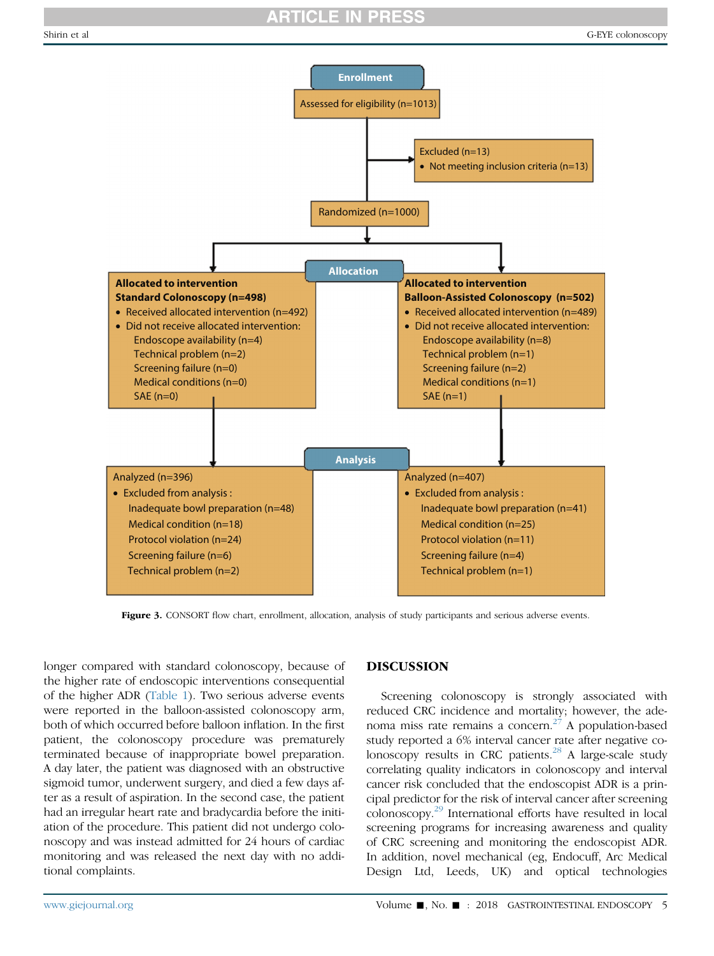<span id="page-4-0"></span>

Figure 3. CONSORT flow chart, enrollment, allocation, analysis of study participants and serious adverse events.

longer compared with standard colonoscopy, because of the higher rate of endoscopic interventions consequential of the higher ADR ([Table 1](#page-5-0)). Two serious adverse events were reported in the balloon-assisted colonoscopy arm, both of which occurred before balloon inflation. In the first patient, the colonoscopy procedure was prematurely terminated because of inappropriate bowel preparation. A day later, the patient was diagnosed with an obstructive sigmoid tumor, underwent surgery, and died a few days after as a result of aspiration. In the second case, the patient had an irregular heart rate and bradycardia before the initiation of the procedure. This patient did not undergo colonoscopy and was instead admitted for 24 hours of cardiac monitoring and was released the next day with no additional complaints.

#### DISCUSSION

Screening colonoscopy is strongly associated with reduced CRC incidence and mortality; however, the adenoma miss rate remains a concern. $27$  A population-based study reported a 6% interval cancer rate after negative colonoscopy results in CRC patients. $^{28}$  $^{28}$  $^{28}$  A large-scale study correlating quality indicators in colonoscopy and interval cancer risk concluded that the endoscopist ADR is a principal predictor for the risk of interval cancer after screening colonoscopy.[29](#page-7-0) International efforts have resulted in local screening programs for increasing awareness and quality of CRC screening and monitoring the endoscopist ADR. In addition, novel mechanical (eg, Endocuff, Arc Medical Design Ltd, Leeds, UK) and optical technologies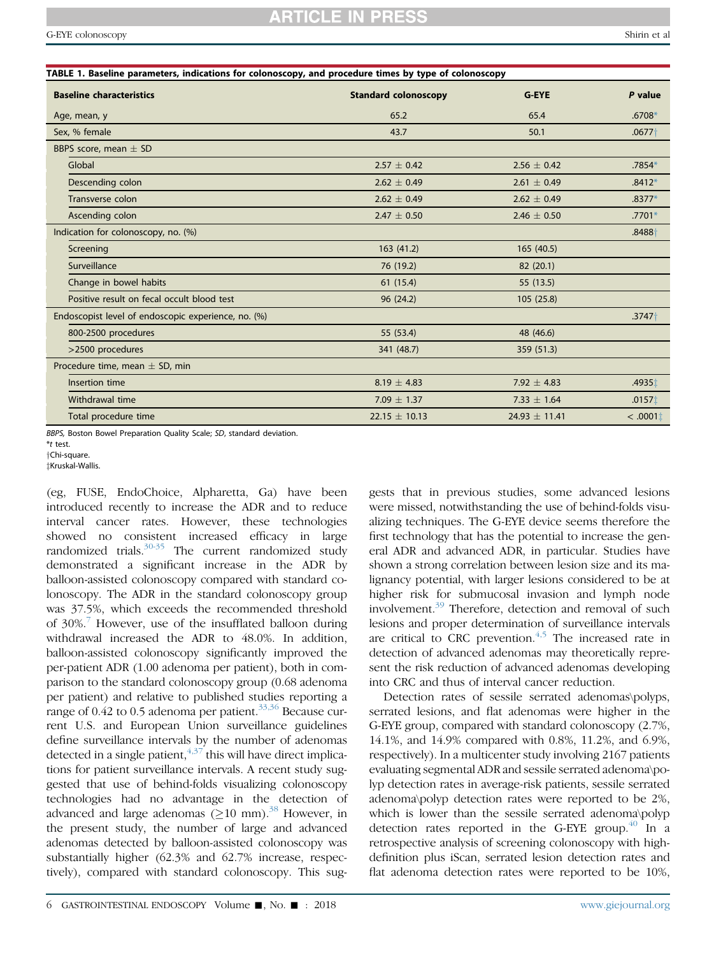<span id="page-5-0"></span>

| TABLE 1. Baseline parameters, indications for colonoscopy, and procedure times by type of colonoscopy |                             |                   |                    |  |  |  |
|-------------------------------------------------------------------------------------------------------|-----------------------------|-------------------|--------------------|--|--|--|
| <b>Baseline characteristics</b>                                                                       | <b>Standard colonoscopy</b> | <b>G-EYE</b>      | P value            |  |  |  |
| Age, mean, y                                                                                          | 65.2                        | 65.4              | $.6708*$           |  |  |  |
| Sex, % female                                                                                         | 43.7                        | 50.1              | $.0677+$           |  |  |  |
| BBPS score, mean $\pm$ SD                                                                             |                             |                   |                    |  |  |  |
| Global                                                                                                | $2.57 \pm 0.42$             | $2.56 + 0.42$     | .7854*             |  |  |  |
| Descending colon                                                                                      | $2.62 \pm 0.49$             | $2.61 \pm 0.49$   | $.8412*$           |  |  |  |
| Transverse colon                                                                                      | $2.62 \pm 0.49$             | $2.62 \pm 0.49$   | $.8377*$           |  |  |  |
| Ascending colon                                                                                       | $2.47 \pm 0.50$             | 2.46 $\pm$ 0.50   | $.7701*$           |  |  |  |
| Indication for colonoscopy, no. (%)                                                                   |                             |                   | $.8488+$           |  |  |  |
| Screening                                                                                             | 163(41.2)                   | 165(40.5)         |                    |  |  |  |
| Surveillance                                                                                          | 76 (19.2)                   | 82 (20.1)         |                    |  |  |  |
| Change in bowel habits                                                                                | 61 (15.4)                   | 55 (13.5)         |                    |  |  |  |
| Positive result on fecal occult blood test                                                            | 96 (24.2)                   | 105 (25.8)        |                    |  |  |  |
| Endoscopist level of endoscopic experience, no. (%)                                                   |                             |                   | $.3747+$           |  |  |  |
| 800-2500 procedures                                                                                   | 55 (53.4)                   | 48 (46.6)         |                    |  |  |  |
| >2500 procedures                                                                                      | 341 (48.7)                  | 359 (51.3)        |                    |  |  |  |
| Procedure time, mean $\pm$ SD, min                                                                    |                             |                   |                    |  |  |  |
| Insertion time                                                                                        | $8.19 \pm 4.83$             | 7.92 $\pm$ 4.83   | .4935 <sup>+</sup> |  |  |  |
| Withdrawal time                                                                                       | 7.09 $\pm$ 1.37             | 7.33 $\pm$ 1.64   | .0157 <sup>†</sup> |  |  |  |
| Total procedure time                                                                                  | $22.15 \pm 10.13$           | 24.93 $\pm$ 11.41 | < .00011           |  |  |  |

BBPS, Boston Bowel Preparation Quality Scale; SD, standard deviation.

\*t test.

zKruskal-Wallis.

(eg, FUSE, EndoChoice, Alpharetta, Ga) have been introduced recently to increase the ADR and to reduce interval cancer rates. However, these technologies showed no consistent increased efficacy in large randomized trials. $30-35$  The current randomized study demonstrated a significant increase in the ADR by balloon-assisted colonoscopy compared with standard colonoscopy. The ADR in the standard colonoscopy group was 37.5%, which exceeds the recommended threshold of 30%.<sup>[7](#page-7-0)</sup> However, use of the insufflated balloon during withdrawal increased the ADR to 48.0%. In addition, balloon-assisted colonoscopy significantly improved the per-patient ADR (1.00 adenoma per patient), both in comparison to the standard colonoscopy group (0.68 adenoma per patient) and relative to published studies reporting a range of 0.42 to 0.5 adenoma per patient.<sup>[33,36](#page-7-0)</sup> Because current U.S. and European Union surveillance guidelines define surveillance intervals by the number of adenomas detected in a single patient,  $4,37$  this will have direct implications for patient surveillance intervals. A recent study suggested that use of behind-folds visualizing colonoscopy technologies had no advantage in the detection of advanced and large adenomas  $(210 \text{ mm})$ .<sup>[38](#page-8-0)</sup> However, in the present study, the number of large and advanced adenomas detected by balloon-assisted colonoscopy was substantially higher (62.3% and 62.7% increase, respectively), compared with standard colonoscopy. This suggests that in previous studies, some advanced lesions were missed, notwithstanding the use of behind-folds visualizing techniques. The G-EYE device seems therefore the first technology that has the potential to increase the general ADR and advanced ADR, in particular. Studies have shown a strong correlation between lesion size and its malignancy potential, with larger lesions considered to be at higher risk for submucosal invasion and lymph node involvement.<sup>[39](#page-8-0)</sup> Therefore, detection and removal of such lesions and proper determination of surveillance intervals are critical to CRC prevention. $4,5$  The increased rate in detection of advanced adenomas may theoretically represent the risk reduction of advanced adenomas developing into CRC and thus of interval cancer reduction.

Detection rates of sessile serrated adenomas\polyps, serrated lesions, and flat adenomas were higher in the G-EYE group, compared with standard colonoscopy (2.7%, 14.1%, and 14.9% compared with 0.8%, 11.2%, and 6.9%, respectively). In a multicenter study involving 2167 patients evaluating segmental ADR and sessile serrated adenoma\polyp detection rates in average-risk patients, sessile serrated adenoma\polyp detection rates were reported to be 2%, which is lower than the sessile serrated adenoma\polyp detection rates reported in the G-EYE group. $^{40}$  $^{40}$  $^{40}$  In a retrospective analysis of screening colonoscopy with highdefinition plus iScan, serrated lesion detection rates and flat adenoma detection rates were reported to be 10%,

yChi-square.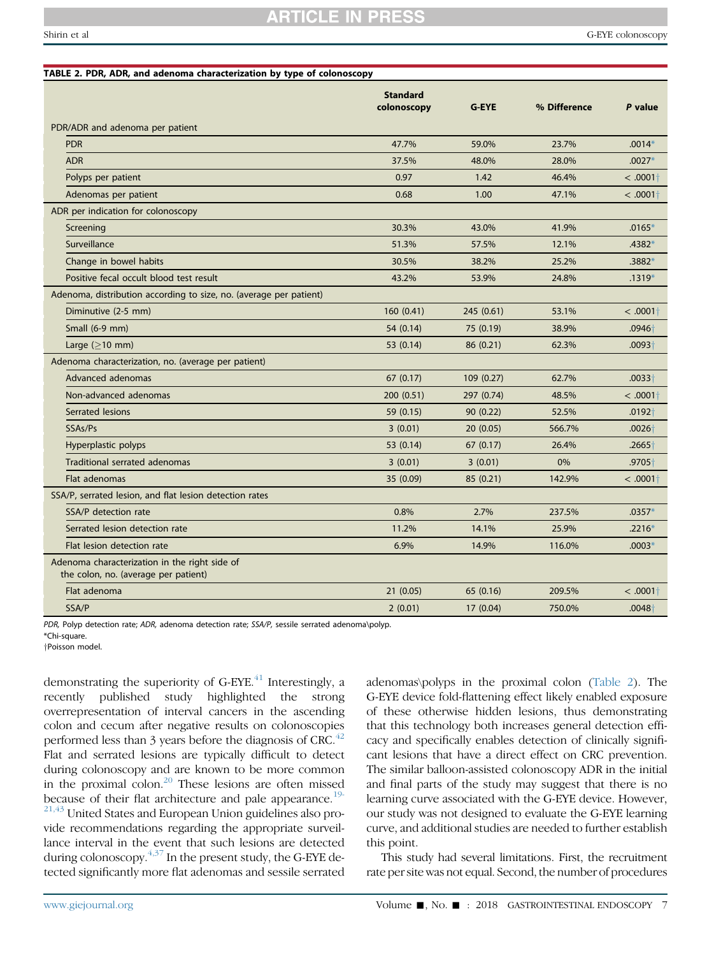## **RTICLE IN**

<span id="page-6-0"></span>

| TABLE 2. PDR, ADR, and adenoma characterization by type of colonoscopy                |                                |              |              |                  |
|---------------------------------------------------------------------------------------|--------------------------------|--------------|--------------|------------------|
|                                                                                       | <b>Standard</b><br>colonoscopy | <b>G-EYE</b> | % Difference | P value          |
| PDR/ADR and adenoma per patient                                                       |                                |              |              |                  |
| <b>PDR</b>                                                                            | 47.7%                          | 59.0%        | 23.7%        | $.0014*$         |
| <b>ADR</b>                                                                            | 37.5%                          | 48.0%        | 28.0%        | $.0027*$         |
| Polyps per patient                                                                    | 0.97                           | 1.42         | 46.4%        | < .0001          |
| Adenomas per patient                                                                  | 0.68                           | 1.00         | 47.1%        | $< .0001\dagger$ |
| ADR per indication for colonoscopy                                                    |                                |              |              |                  |
| Screening                                                                             | 30.3%                          | 43.0%        | 41.9%        | $.0165*$         |
| Surveillance                                                                          | 51.3%                          | 57.5%        | 12.1%        | $.4382*$         |
| Change in bowel habits                                                                | 30.5%                          | 38.2%        | 25.2%        | $.3882*$         |
| Positive fecal occult blood test result                                               | 43.2%                          | 53.9%        | 24.8%        | $.1319*$         |
| Adenoma, distribution according to size, no. (average per patient)                    |                                |              |              |                  |
| Diminutive (2-5 mm)                                                                   | 160(0.41)                      | 245 (0.61)   | 53.1%        | $<.0001\dagger$  |
| Small (6-9 mm)                                                                        | 54 (0.14)                      | 75 (0.19)    | 38.9%        | $.0946+$         |
| Large $(>10$ mm)                                                                      | 53 (0.14)                      | 86 (0.21)    | 62.3%        | $.0093 +$        |
| Adenoma characterization, no. (average per patient)                                   |                                |              |              |                  |
| Advanced adenomas                                                                     | 67(0.17)                       | 109 (0.27)   | 62.7%        | $.0033+$         |
| Non-advanced adenomas                                                                 | 200 (0.51)                     | 297 (0.74)   | 48.5%        | < .0001          |
| Serrated lesions                                                                      | 59 (0.15)                      | 90 (0.22)    | 52.5%        | $.0192+$         |
| SSAs/Ps                                                                               | 3(0.01)                        | 20(0.05)     | 566.7%       | $.0026+$         |
| Hyperplastic polyps                                                                   | 53 (0.14)                      | 67 (0.17)    | 26.4%        | $.2665+$         |
| Traditional serrated adenomas                                                         | 3(0.01)                        | 3(0.01)      | 0%           | $.9705+$         |
| Flat adenomas                                                                         | 35 (0.09)                      | 85 (0.21)    | 142.9%       | $<.0001\dagger$  |
| SSA/P, serrated lesion, and flat lesion detection rates                               |                                |              |              |                  |
| SSA/P detection rate                                                                  | 0.8%                           | 2.7%         | 237.5%       | $.0357*$         |
| Serrated lesion detection rate                                                        | 11.2%                          | 14.1%        | 25.9%        | $.2216*$         |
| Flat lesion detection rate                                                            | 6.9%                           | 14.9%        | 116.0%       | $.0003*$         |
| Adenoma characterization in the right side of<br>the colon, no. (average per patient) |                                |              |              |                  |
| Flat adenoma                                                                          | 21 (0.05)                      | 65 (0.16)    | 209.5%       | $< .0001\dagger$ |
| SSA/P                                                                                 | 2(0.01)                        | 17 (0.04)    | 750.0%       | $.0048+$         |

PDR, Polyp detection rate; ADR, adenoma detection rate; SSA/P, sessile serrated adenoma\polyp. \*Chi-square.

yPoisson model.

demonstrating the superiority of  $G$ -EYE.<sup>[41](#page-8-0)</sup> Interestingly, a recently published study highlighted the strong overrepresentation of interval cancers in the ascending colon and cecum after negative results on colonoscopies performed less than 3 years before the diagnosis of CRC. $42$ Flat and serrated lesions are typically difficult to detect during colonoscopy and are known to be more common in the proximal colon.[20](#page-7-0) These lesions are often missed because of their flat architecture and pale appearance.<sup>[19-](#page-7-0)</sup> <sup>[21,43](#page-7-0)</sup> United States and European Union guidelines also provide recommendations regarding the appropriate surveillance interval in the event that such lesions are detected during colonoscopy.  $4,37$  In the present study, the G-EYE detected significantly more flat adenomas and sessile serrated

adenomas\polyps in the proximal colon (Table 2). The G-EYE device fold-flattening effect likely enabled exposure of these otherwise hidden lesions, thus demonstrating that this technology both increases general detection efficacy and specifically enables detection of clinically significant lesions that have a direct effect on CRC prevention. The similar balloon-assisted colonoscopy ADR in the initial and final parts of the study may suggest that there is no learning curve associated with the G-EYE device. However, our study was not designed to evaluate the G-EYE learning curve, and additional studies are needed to further establish this point.

This study had several limitations. First, the recruitment rate per site was not equal. Second, the number of procedures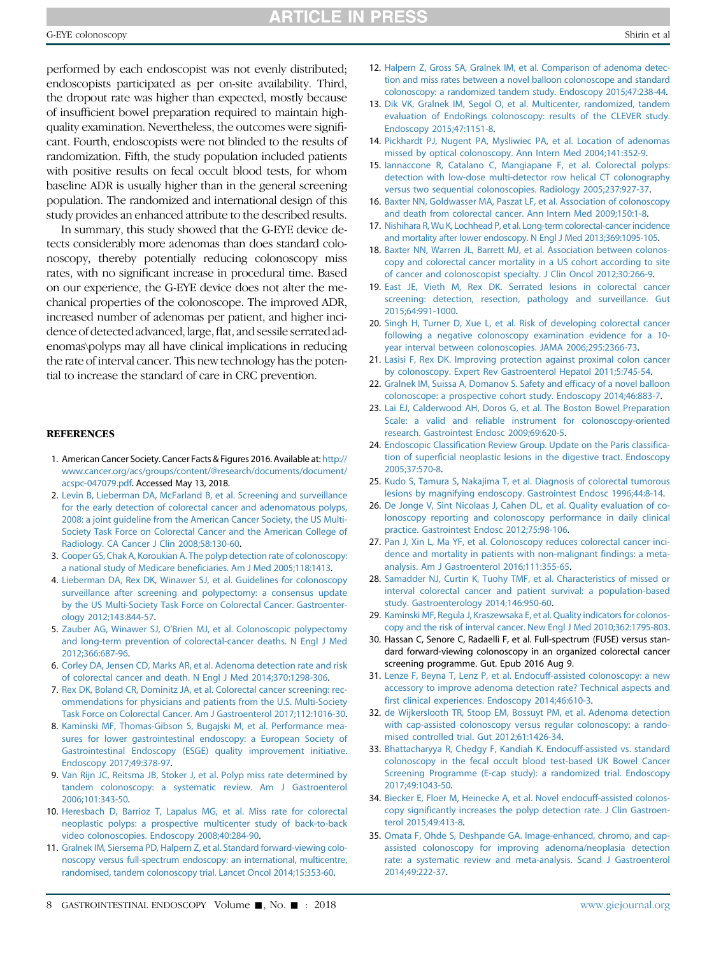### **ARTICLE IN PRESS**

<span id="page-7-0"></span>performed by each endoscopist was not evenly distributed; endoscopists participated as per on-site availability. Third, the dropout rate was higher than expected, mostly because of insufficient bowel preparation required to maintain highquality examination. Nevertheless, the outcomes were significant. Fourth, endoscopists were not blinded to the results of randomization. Fifth, the study population included patients with positive results on fecal occult blood tests, for whom baseline ADR is usually higher than in the general screening population. The randomized and international design of this study provides an enhanced attribute to the described results.

In summary, this study showed that the G-EYE device detects considerably more adenomas than does standard colonoscopy, thereby potentially reducing colonoscopy miss rates, with no significant increase in procedural time. Based on our experience, the G-EYE device does not alter the mechanical properties of the colonoscope. The improved ADR, increased number of adenomas per patient, and higher incidence of detected advanced, large, flat, and sessile serrated adenomas\polyps may all have clinical implications in reducing the rate of interval cancer. This new technology has the potential to increase the standard of care in CRC prevention.

#### **REFERENCES**

- 1. American Cancer Society. Cancer Facts & Figures 2016. Available at: [http://](http://www.cancer.org/acs/groups/content/@research/documents/document/acspc-047079.pdf) [www.cancer.org/acs/groups/content/@research/documents/document/](http://www.cancer.org/acs/groups/content/@research/documents/document/acspc-047079.pdf) [acspc-047079.pdf](http://www.cancer.org/acs/groups/content/@research/documents/document/acspc-047079.pdf). Accessed May 13, 2018.
- 2. [Levin B, Lieberman DA, McFarland B, et al. Screening and surveillance](http://refhub.elsevier.com/S0016-5107(18)33138-9/sref2) [for the early detection of colorectal cancer and adenomatous polyps,](http://refhub.elsevier.com/S0016-5107(18)33138-9/sref2) [2008: a joint guideline from the American Cancer Society, the US Multi-](http://refhub.elsevier.com/S0016-5107(18)33138-9/sref2)[Society Task Force on Colorectal Cancer and the American College of](http://refhub.elsevier.com/S0016-5107(18)33138-9/sref2) [Radiology. CA Cancer J Clin 2008;58:130-60](http://refhub.elsevier.com/S0016-5107(18)33138-9/sref2).
- 3. [Cooper GS, Chak A, Koroukian A. The polyp detection rate of colonoscopy:](http://refhub.elsevier.com/S0016-5107(18)33138-9/sref3) [a national study of Medicare beneficiaries. Am J Med 2005;118:1413.](http://refhub.elsevier.com/S0016-5107(18)33138-9/sref3)
- 4. [Lieberman DA, Rex DK, Winawer SJ, et al. Guidelines for colonoscopy](http://refhub.elsevier.com/S0016-5107(18)33138-9/sref4) [surveillance after screening and polypectomy: a consensus update](http://refhub.elsevier.com/S0016-5107(18)33138-9/sref4) [by the US Multi-Society Task Force on Colorectal Cancer. Gastroenter](http://refhub.elsevier.com/S0016-5107(18)33138-9/sref4)[ology 2012;143:844-57](http://refhub.elsevier.com/S0016-5107(18)33138-9/sref4).
- 5. Zauber AG, Winawer SJ, O'[Brien MJ, et al. Colonoscopic polypectomy](http://refhub.elsevier.com/S0016-5107(18)33138-9/sref5) [and long-term prevention of colorectal-cancer deaths. N Engl J Med](http://refhub.elsevier.com/S0016-5107(18)33138-9/sref5) [2012;366:687-96.](http://refhub.elsevier.com/S0016-5107(18)33138-9/sref5)
- 6. [Corley DA, Jensen CD, Marks AR, et al. Adenoma detection rate and risk](http://refhub.elsevier.com/S0016-5107(18)33138-9/sref6) [of colorectal cancer and death. N Engl J Med 2014;370:1298-306.](http://refhub.elsevier.com/S0016-5107(18)33138-9/sref6)
- 7. [Rex DK, Boland CR, Dominitz JA, et al. Colorectal cancer screening: rec](http://refhub.elsevier.com/S0016-5107(18)33138-9/sref7)[ommendations for physicians and patients from the U.S. Multi-Society](http://refhub.elsevier.com/S0016-5107(18)33138-9/sref7) [Task Force on Colorectal Cancer. Am J Gastroenterol 2017;112:1016-30](http://refhub.elsevier.com/S0016-5107(18)33138-9/sref7).
- 8. [Kaminski MF, Thomas-Gibson S, Bugajski M, et al. Performance mea](http://refhub.elsevier.com/S0016-5107(18)33138-9/sref8)[sures for lower gastrointestinal endoscopy: a European Society of](http://refhub.elsevier.com/S0016-5107(18)33138-9/sref8) [Gastrointestinal Endoscopy \(ESGE\) quality improvement initiative.](http://refhub.elsevier.com/S0016-5107(18)33138-9/sref8) [Endoscopy 2017;49:378-97.](http://refhub.elsevier.com/S0016-5107(18)33138-9/sref8)
- 9. [Van Rijn JC, Reitsma JB, Stoker J, et al. Polyp miss rate determined by](http://refhub.elsevier.com/S0016-5107(18)33138-9/sref9) [tandem colonoscopy: a systematic review. Am J Gastroenterol](http://refhub.elsevier.com/S0016-5107(18)33138-9/sref9) [2006;101:343-50.](http://refhub.elsevier.com/S0016-5107(18)33138-9/sref9)
- 10. [Heresbach D, Barrioz T, Lapalus MG, et al. Miss rate for colorectal](http://refhub.elsevier.com/S0016-5107(18)33138-9/sref10) [neoplastic polyps: a prospective multicenter study of back-to-back](http://refhub.elsevier.com/S0016-5107(18)33138-9/sref10) [video colonoscopies. Endoscopy 2008;40:284-90](http://refhub.elsevier.com/S0016-5107(18)33138-9/sref10).
- 11. [Gralnek IM, Siersema PD, Halpern Z, et al. Standard forward-viewing colo](http://refhub.elsevier.com/S0016-5107(18)33138-9/sref11)[noscopy versus full-spectrum endoscopy: an international, multicentre,](http://refhub.elsevier.com/S0016-5107(18)33138-9/sref11) [randomised, tandem colonoscopy trial. Lancet Oncol 2014;15:353-60](http://refhub.elsevier.com/S0016-5107(18)33138-9/sref11).
- 12. [Halpern Z, Gross SA, Gralnek IM, et al. Comparison of adenoma detec](http://refhub.elsevier.com/S0016-5107(18)33138-9/sref12)[tion and miss rates between a novel balloon colonoscope and standard](http://refhub.elsevier.com/S0016-5107(18)33138-9/sref12) [colonoscopy: a randomized tandem study. Endoscopy 2015;47:238-44.](http://refhub.elsevier.com/S0016-5107(18)33138-9/sref12)
- 13. [Dik VK, Gralnek IM, Segol O, et al. Multicenter, randomized, tandem](http://refhub.elsevier.com/S0016-5107(18)33138-9/sref13) [evaluation of EndoRings colonoscopy: results of the CLEVER study.](http://refhub.elsevier.com/S0016-5107(18)33138-9/sref13) [Endoscopy 2015;47:1151-8](http://refhub.elsevier.com/S0016-5107(18)33138-9/sref13).
- 14. [Pickhardt PJ, Nugent PA, Mysliwiec PA, et al. Location of adenomas](http://refhub.elsevier.com/S0016-5107(18)33138-9/sref14) [missed by optical colonoscopy. Ann Intern Med 2004;141:352-9](http://refhub.elsevier.com/S0016-5107(18)33138-9/sref14).
- 15. [Iannaccone R, Catalano C, Mangiapane F, et al. Colorectal polyps:](http://refhub.elsevier.com/S0016-5107(18)33138-9/sref15) [detection with low-dose multi-detector row helical CT colonography](http://refhub.elsevier.com/S0016-5107(18)33138-9/sref15) [versus two sequential colonoscopies. Radiology 2005;237:927-37](http://refhub.elsevier.com/S0016-5107(18)33138-9/sref15).
- 16. [Baxter NN, Goldwasser MA, Paszat LF, et al. Association of colonoscopy](http://refhub.elsevier.com/S0016-5107(18)33138-9/sref16) [and death from colorectal cancer. Ann Intern Med 2009;150:1-8.](http://refhub.elsevier.com/S0016-5107(18)33138-9/sref16)
- 17. [Nishihara R, Wu K, Lochhead P, et al. Long-term colorectal-cancer incidence](http://refhub.elsevier.com/S0016-5107(18)33138-9/sref17) [and mortality after lower endoscopy. N Engl J Med 2013;369:1095-105.](http://refhub.elsevier.com/S0016-5107(18)33138-9/sref17)
- 18. [Baxter NN, Warren JL, Barrett MJ, et al. Association between colonos](http://refhub.elsevier.com/S0016-5107(18)33138-9/sref18)[copy and colorectal cancer mortality in a US cohort according to site](http://refhub.elsevier.com/S0016-5107(18)33138-9/sref18) [of cancer and colonoscopist specialty. J Clin Oncol 2012;30:266-9.](http://refhub.elsevier.com/S0016-5107(18)33138-9/sref18)
- 19. [East JE, Vieth M, Rex DK. Serrated lesions in colorectal cancer](http://refhub.elsevier.com/S0016-5107(18)33138-9/sref19) [screening: detection, resection, pathology and surveillance. Gut](http://refhub.elsevier.com/S0016-5107(18)33138-9/sref19) [2015;64:991-1000](http://refhub.elsevier.com/S0016-5107(18)33138-9/sref19).
- 20. [Singh H, Turner D, Xue L, et al. Risk of developing colorectal cancer](http://refhub.elsevier.com/S0016-5107(18)33138-9/sref20) [following a negative colonoscopy examination evidence for a 10](http://refhub.elsevier.com/S0016-5107(18)33138-9/sref20) [year interval between colonoscopies. JAMA 2006;295:2366-73](http://refhub.elsevier.com/S0016-5107(18)33138-9/sref20).
- 21. [Lasisi F, Rex DK. Improving protection against proximal colon cancer](http://refhub.elsevier.com/S0016-5107(18)33138-9/sref21) [by colonoscopy. Expert Rev Gastroenterol Hepatol 2011;5:745-54](http://refhub.elsevier.com/S0016-5107(18)33138-9/sref21).
- 22. [Gralnek IM, Suissa A, Domanov S. Safety and efficacy of a novel balloon](http://refhub.elsevier.com/S0016-5107(18)33138-9/sref22) [colonoscope: a prospective cohort study. Endoscopy 2014;46:883-7](http://refhub.elsevier.com/S0016-5107(18)33138-9/sref22).
- 23. [Lai EJ, Calderwood AH, Doros G, et al. The Boston Bowel Preparation](http://refhub.elsevier.com/S0016-5107(18)33138-9/sref23) [Scale: a valid and reliable instrument for colonoscopy-oriented](http://refhub.elsevier.com/S0016-5107(18)33138-9/sref23) [research. Gastrointest Endosc 2009;69:620-5.](http://refhub.elsevier.com/S0016-5107(18)33138-9/sref23)
- 24. [Endoscopic Classification Review Group. Update on the Paris classifica](http://refhub.elsevier.com/S0016-5107(18)33138-9/sref24)[tion of superficial neoplastic lesions in the digestive tract. Endoscopy](http://refhub.elsevier.com/S0016-5107(18)33138-9/sref24) [2005;37:570-8](http://refhub.elsevier.com/S0016-5107(18)33138-9/sref24).
- 25. [Kudo S, Tamura S, Nakajima T, et al. Diagnosis of colorectal tumorous](http://refhub.elsevier.com/S0016-5107(18)33138-9/sref25) [lesions by magnifying endoscopy. Gastrointest Endosc 1996;44:8-14](http://refhub.elsevier.com/S0016-5107(18)33138-9/sref25).
- 26. [De Jonge V, Sint Nicolaas J, Cahen DL, et al. Quality evaluation of co](http://refhub.elsevier.com/S0016-5107(18)33138-9/sref26)[lonoscopy reporting and colonoscopy performance in daily clinical](http://refhub.elsevier.com/S0016-5107(18)33138-9/sref26) [practice. Gastrointest Endosc 2012;75:98-106.](http://refhub.elsevier.com/S0016-5107(18)33138-9/sref26)
- 27. [Pan J, Xin L, Ma YF, et al. Colonoscopy reduces colorectal cancer inci](http://refhub.elsevier.com/S0016-5107(18)33138-9/sref27)[dence and mortality in patients with non-malignant findings: a meta](http://refhub.elsevier.com/S0016-5107(18)33138-9/sref27)[analysis. Am J Gastroenterol 2016;111:355-65.](http://refhub.elsevier.com/S0016-5107(18)33138-9/sref27)
- 28. [Samadder NJ, Curtin K, Tuohy TMF, et al. Characteristics of missed or](http://refhub.elsevier.com/S0016-5107(18)33138-9/sref28) [interval colorectal cancer and patient survival: a population-based](http://refhub.elsevier.com/S0016-5107(18)33138-9/sref28) [study. Gastroenterology 2014;146:950-60](http://refhub.elsevier.com/S0016-5107(18)33138-9/sref28).
- 29. [Kaminski MF, Regula J, Kraszewsaka E, et al. Quality indicators for colonos](http://refhub.elsevier.com/S0016-5107(18)33138-9/sref29)[copy and the risk of interval cancer. New Engl J Med 2010;362:1795-803.](http://refhub.elsevier.com/S0016-5107(18)33138-9/sref29)
- 30. Hassan C, Senore C, Radaelli F, et al. Full-spectrum (FUSE) versus standard forward-viewing colonoscopy in an organized colorectal cancer screening programme. Gut. Epub 2016 Aug 9.
- 31. [Lenze F, Beyna T, Lenz P, et al. Endocuff-assisted colonoscopy: a new](http://refhub.elsevier.com/S0016-5107(18)33138-9/sref31) [accessory to improve adenoma detection rate? Technical aspects and](http://refhub.elsevier.com/S0016-5107(18)33138-9/sref31) [first clinical experiences. Endoscopy 2014;46:610-3](http://refhub.elsevier.com/S0016-5107(18)33138-9/sref31).
- 32. [de Wijkerslooth TR, Stoop EM, Bossuyt PM, et al. Adenoma detection](http://refhub.elsevier.com/S0016-5107(18)33138-9/sref32) [with cap-assisted colonoscopy versus regular colonoscopy: a rando](http://refhub.elsevier.com/S0016-5107(18)33138-9/sref32)[mised controlled trial. Gut 2012;61:1426-34](http://refhub.elsevier.com/S0016-5107(18)33138-9/sref32).
- 33. [Bhattacharyya R, Chedgy F, Kandiah K. Endocuff-assisted vs. standard](http://refhub.elsevier.com/S0016-5107(18)33138-9/sref33) [colonoscopy in the fecal occult blood test-based UK Bowel Cancer](http://refhub.elsevier.com/S0016-5107(18)33138-9/sref33) [Screening Programme \(E-cap study\): a randomized trial. Endoscopy](http://refhub.elsevier.com/S0016-5107(18)33138-9/sref33) [2017;49:1043-50](http://refhub.elsevier.com/S0016-5107(18)33138-9/sref33).
- 34. [Biecker E, Floer M, Heinecke A, et al. Novel endocuff-assisted colonos](http://refhub.elsevier.com/S0016-5107(18)33138-9/sref34)[copy significantly increases the polyp detection rate. J Clin Gastroen](http://refhub.elsevier.com/S0016-5107(18)33138-9/sref34)[terol 2015;49:413-8](http://refhub.elsevier.com/S0016-5107(18)33138-9/sref34).
- 35. [Omata F, Ohde S, Deshpande GA. Image-enhanced, chromo, and cap](http://refhub.elsevier.com/S0016-5107(18)33138-9/sref35)[assisted colonoscopy for improving adenoma/neoplasia detection](http://refhub.elsevier.com/S0016-5107(18)33138-9/sref35) [rate: a systematic review and meta-analysis. Scand J Gastroenterol](http://refhub.elsevier.com/S0016-5107(18)33138-9/sref35) [2014;49:222-37](http://refhub.elsevier.com/S0016-5107(18)33138-9/sref35).